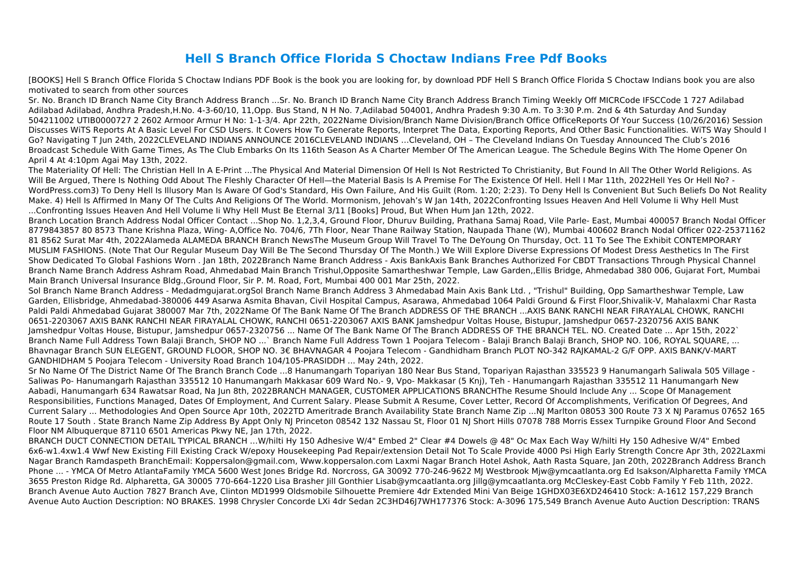## **Hell S Branch Office Florida S Choctaw Indians Free Pdf Books**

[BOOKS] Hell S Branch Office Florida S Choctaw Indians PDF Book is the book you are looking for, by download PDF Hell S Branch Office Florida S Choctaw Indians book you are also motivated to search from other sources

Sr. No. Branch ID Branch Name City Branch Address Branch ...Sr. No. Branch ID Branch Name City Branch Address Branch Timing Weekly Off MICRCode IFSCCode 1 727 Adilabad Adilabad Adilabad, Andhra Pradesh,H.No. 4-3-60/10, 11,Opp. Bus Stand, N H No. 7,Adilabad 504001, Andhra Pradesh 9:30 A.m. To 3:30 P.m. 2nd & 4th Saturday And Sunday 504211002 UTIB0000727 2 2602 Armoor Armur H No: 1-1-3/4. Apr 22th, 2022Name Division/Branch Name Division/Branch Office OfficeReports Of Your Success (10/26/2016) Session Discusses WiTS Reports At A Basic Level For CSD Users. It Covers How To Generate Reports, Interpret The Data, Exporting Reports, And Other Basic Functionalities. WiTS Way Should I Go? Navigating T Jun 24th, 2022CLEVELAND INDIANS ANNOUNCE 2016CLEVELAND INDIANS …Cleveland, OH – The Cleveland Indians On Tuesday Announced The Club's 2016 Broadcast Schedule With Game Times, As The Club Embarks On Its 116th Season As A Charter Member Of The American League. The Schedule Begins With The Home Opener On April 4 At 4:10pm Agai May 13th, 2022.

The Materiality Of Hell: The Christian Hell In A E-Print ...The Physical And Material Dimension Of Hell Is Not Restricted To Christianity, But Found In All The Other World Religions. As Will Be Argued, There Is Nothing Odd About The Fleshly Character Of Hell—the Material Basis Is A Premise For The Existence Of Hell. Hell I Mar 11th, 2022Hell Yes Or Hell No? - WordPress.com3) To Deny Hell Is Illusory Man Is Aware Of God's Standard, His Own Failure, And His Guilt (Rom. 1:20; 2:23). To Deny Hell Is Convenient But Such Beliefs Do Not Reality Make. 4) Hell Is Affirmed In Many Of The Cults And Religions Of The World. Mormonism, Jehovah's W Jan 14th, 2022Confronting Issues Heaven And Hell Volume Ii Why Hell Must ...Confronting Issues Heaven And Hell Volume Ii Why Hell Must Be Eternal 3/11 [Books] Proud, But When Hum Jan 12th, 2022.

Branch Location Branch Address Nodal Officer Contact ...Shop No. 1,2,3,4, Ground Floor, Dhuruv Building, Prathana Samaj Road, Vile Parle- East, Mumbai 400057 Branch Nodal Officer 8779843857 80 8573 Thane Krishna Plaza, Wing- A,Office No. 704/6, 7Th Floor, Near Thane Railway Station, Naupada Thane (W), Mumbai 400602 Branch Nodal Officer 022-25371162 81 8562 Surat Mar 4th, 2022Alameda ALAMEDA BRANCH Branch NewsThe Museum Group Will Travel To The DeYoung On Thursday, Oct. 11 To See The Exhibit CONTEMPORARY MUSLIM FASHIONS. (Note That Our Regular Museum Day Will Be The Second Thursday Of The Month.) We Will Explore Diverse Expressions Of Modest Dress Aesthetics In The First Show Dedicated To Global Fashions Worn . Jan 18th, 2022Branch Name Branch Address - Axis BankAxis Bank Branches Authorized For CBDT Transactions Through Physical Channel Branch Name Branch Address Ashram Road, Ahmedabad Main Branch Trishul,Opposite Samartheshwar Temple, Law Garden,,Ellis Bridge, Ahmedabad 380 006, Gujarat Fort, Mumbai Main Branch Universal Insurance Bldg.,Ground Floor, Sir P. M. Road, Fort, Mumbai 400 001 Mar 25th, 2022.

Sol Branch Name Branch Address - Medadmgujarat.orgSol Branch Name Branch Address 3 Ahmedabad Main Axis Bank Ltd. , "Trishul" Building, Opp Samartheshwar Temple, Law Garden, Ellisbridge, Ahmedabad-380006 449 Asarwa Asmita Bhavan, Civil Hospital Campus, Asarawa, Ahmedabad 1064 Paldi Ground & First Floor,Shivalik-V, Mahalaxmi Char Rasta Paldi Paldi Ahmedabad Gujarat 380007 Mar 7th, 2022Name Of The Bank Name Of The Branch ADDRESS OF THE BRANCH ...AXIS BANK RANCHI NEAR FIRAYALAL CHOWK, RANCHI 0651-2203067 AXIS BANK RANCHI NEAR FIRAYALAL CHOWK, RANCHI 0651-2203067 AXIS BANK Jamshedpur Voltas House, Bistupur, Jamshedpur 0657-2320756 AXIS BANK Jamshedpur Voltas House, Bistupur, Jamshedpur 0657-2320756 ... Name Of The Bank Name Of The Branch ADDRESS OF THE BRANCH TEL. NO. Created Date ... Apr 15th, 2022` Branch Name Full Address Town Balaji Branch, SHOP NO ...` Branch Name Full Address Town 1 Poojara Telecom - Balaji Branch Balaji Branch, SHOP NO. 106, ROYAL SQUARE, ... Bhavnagar Branch SUN ELEGENT, GROUND FLOOR, SHOP NO. 3€ BHAVNAGAR 4 Poojara Telecom - Gandhidham Branch PLOT NO-342 RAJKAMAL-2 G/F OPP. AXIS BANK/V-MART GANDHIDHAM 5 Poojara Telecom - University Road Branch 104/105-PRASIDDH ... May 24th, 2022.

Sr No Name Of The District Name Of The Branch Branch Code ...8 Hanumangarh Topariyan 180 Near Bus Stand, Topariyan Rajasthan 335523 9 Hanumangarh Saliwala 505 Village - Saliwas Po- Hanumangarh Rajasthan 335512 10 Hanumangarh Makkasar 609 Ward No.- 9, Vpo- Makkasar (5 Knj), Teh - Hanumangarh Rajasthan 335512 11 Hanumangarh New Aabadi, Hanumangarh 634 Rawatsar Road, Na Jun 8th, 2022BRANCH MANAGER, CUSTOMER APPLICATIONS BRANCHThe Resume Should Include Any ... Scope Of Management Responsibilities, Functions Managed, Dates Of Employment, And Current Salary. Please Submit A Resume, Cover Letter, Record Of Accomplishments, Verification Of Degrees, And Current Salary ... Methodologies And Open Source Apr 10th, 2022TD Ameritrade Branch Availability State Branch Name Zip ...NJ Marlton 08053 300 Route 73 X NJ Paramus 07652 165 Route 17 South . State Branch Name Zip Address By Appt Only NJ Princeton 08542 132 Nassau St, Floor 01 NJ Short Hills 07078 788 Morris Essex Turnpike Ground Floor And Second Floor NM Albuquerque 87110 6501 Americas Pkwy NE, Jan 17th, 2022.

BRANCH DUCT CONNECTION DETAIL TYPICAL BRANCH …W/hilti Hy 150 Adhesive W/4" Embed 2" Clear #4 Dowels @ 48" Oc Max Each Way W/hilti Hy 150 Adhesive W/4" Embed 6x6-w1.4xw1.4 Wwf New Existing Fill Existing Crack W/epoxy Housekeeping Pad Repair/extension Detail Not To Scale Provide 4000 Psi High Early Strength Concre Apr 3th, 2022Laxmi Nagar Branch Ramdaspeth BranchEmail: Koppersalon@gmail.com, Www.koppersalon.com Laxmi Nagar Branch Hotel Ashok, Aath Rasta Square, Jan 20th, 2022Branch Address Branch Phone ... - YMCA Of Metro AtlantaFamily YMCA 5600 West Jones Bridge Rd. Norcross, GA 30092 770-246-9622 MJ Westbrook Mjw@ymcaatlanta.org Ed Isakson/Alpharetta Family YMCA 3655 Preston Ridge Rd. Alpharetta, GA 30005 770-664-1220 Lisa Brasher Jill Gonthier Lisab@ymcaatlanta.org Jillg@ymcaatlanta.org McCleskey-East Cobb Family Y Feb 11th, 2022. Branch Avenue Auto Auction 7827 Branch Ave, Clinton MD1999 Oldsmobile Silhouette Premiere 4dr Extended Mini Van Beige 1GHDX03E6XD246410 Stock: A-1612 157,229 Branch Avenue Auto Auction Description: NO BRAKES. 1998 Chrysler Concorde LXi 4dr Sedan 2C3HD46J7WH177376 Stock: A-3096 175,549 Branch Avenue Auto Auction Description: TRANS